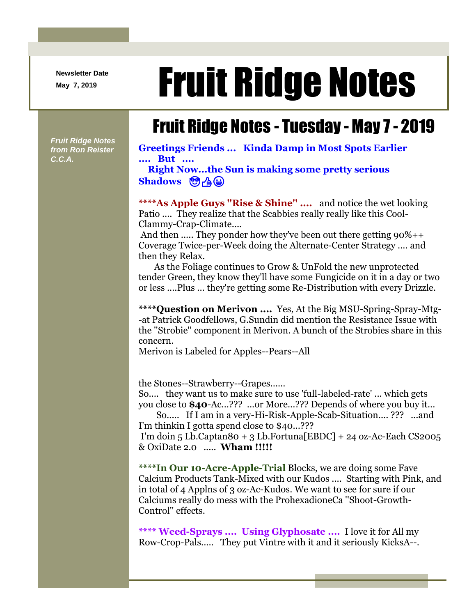**Newsletter Date**

## Newsletter Date **Fruit Ridge Notes**

## Fruit Ridge Notes - Tuesday - May 7 - 2019

*Fruit Ridge Notes from Ron Reister C.C.A.*

**Greetings Friends ... Kinda Damp in Most Spots Earlier .... But ....**

**Right Now...the Sun is making some pretty serious Shadows <br>
<br>
<br>
<br>
<br>
<br>
<br>** 

**\*\*\*\*As Apple Guys ''Rise & Shine'' ....** and notice the wet looking Patio .... They realize that the Scabbies really really like this Cool-Clammy-Crap-Climate....

And then ..... They ponder how they've been out there getting 90%++ Coverage Twice-per-Week doing the Alternate-Center Strategy .... and then they Relax.

As the Foliage continues to Grow & UnFold the new unprotected tender Green, they know they'll have some Fungicide on it in a day or two or less ....Plus ... they're getting some Re-Distribution with every Drizzle.

**\*\*\*\*Question on Merivon ....** Yes, At the Big MSU-Spring-Spray-Mtg- -at Patrick Goodfellows, G.Sundin did mention the Resistance Issue with the ''Strobie'' component in Merivon. A bunch of the Strobies share in this concern.

Merivon is Labeled for Apples--Pears--All

the Stones--Strawberry--Grapes......

So.... they want us to make sure to use 'full-labeled-rate' ... which gets you close to **\$40**-Ac...??? ...or More...??? Depends of where you buy it...

So..... If I am in a very-Hi-Risk-Apple-Scab-Situation.... ??? ...and I'm thinkin I gotta spend close to \$40...???

I'm doin 5 Lb.Captan80 + 3 Lb.Fortuna [EBDC] + 24 oz-Ac-Each CS2005 & OxiDate 2.0 ..... **Wham !!!!!**

**\*\*\*\*In Our 10-Acre-Apple-Trial** Blocks, we are doing some Fave Calcium Products Tank-Mixed with our Kudos .... Starting with Pink, and in total of 4 Applns of 3 oz-Ac-Kudos. We want to see for sure if our Calciums really do mess with the ProhexadioneCa ''Shoot-Growth-Control'' effects.

**\*\*\*\* Weed-Sprays .... Using Glyphosate ....** I love it for All my Row-Crop-Pals..... They put Vintre with it and it seriously KicksA--.